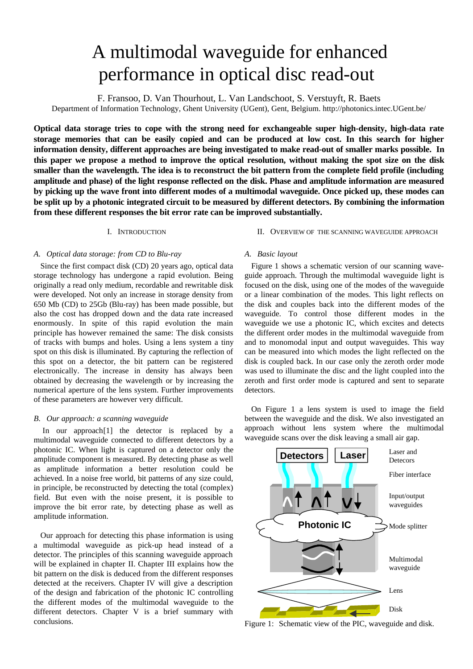# A multimodal waveguide for enhanced performance in optical disc read-out

F. Fransoo, D. Van Thourhout, L. Van Landschoot, S. Verstuyft, R. Baets

Department of Information Technology, Ghent University (UGent), Gent, Belgium. http://photonics.intec.UGent.be/

**Optical data storage tries to cope with the strong need for exchangeable super high-density, high-data rate storage memories that can be easily copied and can be produced at low cost. In this search for higher information density, different approaches are being investigated to make read-out of smaller marks possible. In this paper we propose a method to improve the optical resolution, without making the spot size on the disk smaller than the wavelength. The idea is to reconstruct the bit pattern from the complete field profile (including amplitude and phase) of the light response reflected on the disk. Phase and amplitude information are measured by picking up the wave front into different modes of a multimodal waveguide. Once picked up, these modes can be split up by a photonic integrated circuit to be measured by different detectors. By combining the information from these different responses the bit error rate can be improved substantially.**

## I. INTRODUCTION

## *A. Optical data storage: from CD to Blu-ray*

Since the first compact disk (CD) 20 years ago, optical data storage technology has undergone a rapid evolution. Being originally a read only medium, recordable and rewritable disk were developed. Not only an increase in storage density from 650 Mb (CD) to 25Gb (Blu-ray) has been made possible, but also the cost has dropped down and the data rate increased enormously. In spite of this rapid evolution the main principle has however remained the same: The disk consists of tracks with bumps and holes. Using a lens system a tiny spot on this disk is illuminated. By capturing the reflection of this spot on a detector, the bit pattern can be registered electronically. The increase in density has always been obtained by decreasing the wavelength or by increasing the numerical aperture of the lens system. Further improvements of these parameters are however very difficult.

## *B. Our approach: a scanning waveguide*

In our approach<sup>[1]</sup> the detector is replaced by a multimodal waveguide connected to different detectors by a photonic IC. When light is captured on a detector only the amplitude component is measured. By detecting phase as well as amplitude information a better resolution could be achieved. In a noise free world, bit patterns of any size could, in principle, be reconstructed by detecting the total (complex) field. But even with the noise present, it is possible to improve the bit error rate, by detecting phase as well as amplitude information.

Our approach for detecting this phase information is using a multimodal waveguide as pick-up head instead of a detector. The principles of this scanning waveguide approach will be explained in chapter II. Chapter III explains how the bit pattern on the disk is deduced from the different responses detected at the receivers. Chapter IV will give a description of the design and fabrication of the photonic IC controlling the different modes of the multimodal waveguide to the different detectors. Chapter V is a brief summary with conclusions.

## II. OVERVIEW OF THE SCANNING WAVEGUIDE APPROACH

## *A. Basic layout*

Figure 1 shows a schematic version of our scanning waveguide approach. Through the multimodal waveguide light is focused on the disk, using one of the modes of the waveguide or a linear combination of the modes. This light reflects on the disk and couples back into the different modes of the waveguide. To control those different modes in the waveguide we use a photonic IC, which excites and detects the different order modes in the multimodal waveguide from and to monomodal input and output waveguides. This way can be measured into which modes the light reflected on the disk is coupled back. In our case only the zeroth order mode was used to illuminate the disc and the light coupled into the zeroth and first order mode is captured and sent to separate detectors.

On Figure 1 a lens system is used to image the field between the waveguide and the disk. We also investigated an approach without lens system where the multimodal waveguide scans over the disk leaving a small air gap.



Figure 1: Schematic view of the PIC, waveguide and disk.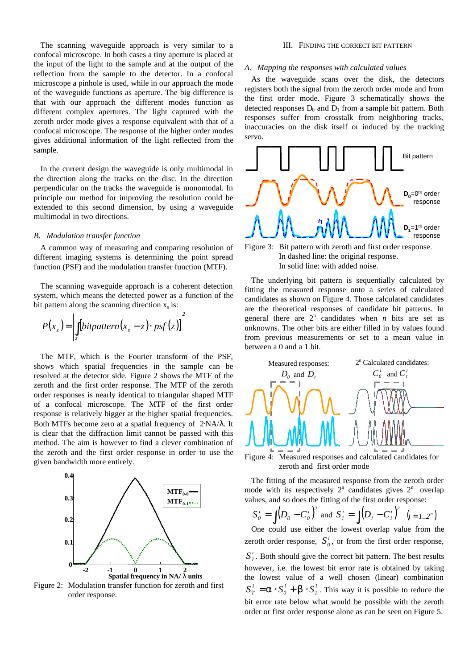The scanning waveguide approach is very similar to a confocal microscope. In both cases a tiny aperture is placed at the input of the light to the sample and at the output of the reflection from the sample to the detector. In a confocal microscope a pinhole is used, while in our approach the mode of the waveguide functions as aperture. The big difference is that with our approach the different modes function as different complex apertures. The light captured with the zeroth order mode gives a response equivalent with that of a confocal microscope. The response of the higher order modes gives additional information of the light reflected from the sample.

In the current design the waveguide is only multimodal in the direction along the tracks on the disc. In the direction perpendicular on the tracks the waveguide is monomodal. In principle our method for improving the resolution could be extended to this second dimension, by using a waveguide multimodal in two directions.

### *B. Modulation transfer function*

A common way of measuring and comparing resolution of different imaging systems is determining the point spread function (PSF) and the modulation transfer function (MTF).

The scanning waveguide approach is a coherent detection system, which means the detected power as a function of the bit pattern along the scanning direction  $x_s$  is:

$$
P(x_s) = \left| \int_z [bitpattern(x_s - z) \cdot psf(z)] \right|^2
$$

The MTF, which is the Fourier transform of the PSF, shows which spatial frequencies in the sample can be resolved at the detector side. Figure 2 shows the MTF of the zeroth and the first order response. The MTF of the zeroth order responses is nearly identical to triangular shaped MTF of a confocal microscope. The MTF of the first order response is relatively bigger at the higher spatial frequencies. Both MTFs become zero at a spatial frequency of 2⋅NA/λ. It is clear that the diffraction limit cannot be passed with this method. The aim is however to find a clever combination of the zeroth and the first order response in order to use the given bandwidth more entirely.



Figure 2: Modulation transfer function for zeroth and first order response.

#### III. FINDING THE CORRECT BIT PATTERN

#### *A. Mapping the responses with calculated values*

As the waveguide scans over the disk, the detectors registers both the signal from the zeroth order mode and from the first order mode. Figure 3 schematically shows the detected responses  $D_0$  and  $D_1$  from a sample bit pattern. Both responses suffer from crosstalk from neighboring tracks, inaccuracies on the disk itself or induced by the tracking servo.



Figure 3: Bit pattern with zeroth and first order response. In dashed line: the original response. In solid line: with added noise.

The underlying bit pattern is sequentially calculated by fitting the measured response onto a series of calculated candidates as shown on Figure 4. Those calculated candidates are the theoretical responses of candidate bit patterns. In general there are  $2^n$  candidates when *n* bits are set as unknowns. The other bits are either filled in by values found from previous measurements or set to a mean value in between a 0 and a 1 bit.



Figure 4: Measured responses and calculated candidates for zeroth and first order mode

The fitting of the measured response from the zeroth order mode with its respectively  $2^n$  candidates gives  $2^n$  overlap values, and so does the fitting of the first order response:

 $(D_{0} - C_{0}^{i})^{2}$ *0 0*  $S_0^i = \int (D_0 - C_0^i)^2$  and  $S_1^i = \int (D_1 - C_1^i)^2$ *1 1*  $S_i^i = \int (D_i - C_i^i)^2 \quad (i = 1..2^n)$ 

One could use either the lowest overlap value from the zeroth order response,  $S^i_{\theta}$ , or from the first order response, *i*  $S_I^i$ . Both should give the correct bit pattern. The best results however, i.e. the lowest bit error rate is obtained by taking the lowest value of a well chosen (linear) combination *i 1 i 0 i*  $S_T^i = a \cdot S_0^i + b \cdot S_T^i$ . This way it is possible to reduce the bit error rate below what would be possible with the zeroth order or first order response alone as can be seen on Figure 5.